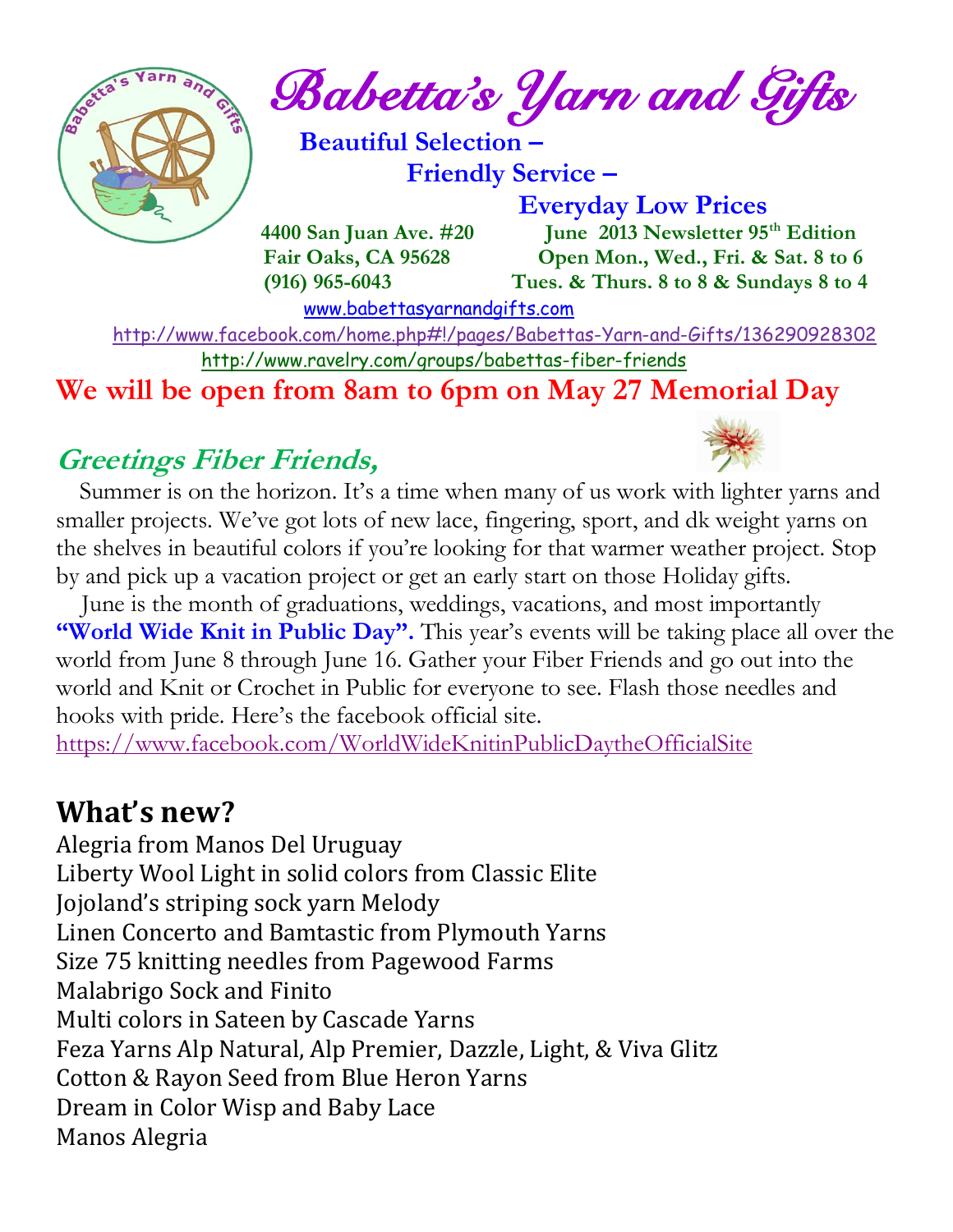

*Babetta's Yarn and Gifts* 

 **Beautiful Selection – Friendly Service –**

 **Everyday Low Prices**

 **4400 San Juan Ave. #20 June 2013 Newsletter 95th Edition Fair Oaks, CA 95628 Open Mon., Wed., Fri. & Sat. 8 to 6 (916) 965-6043 Tues. & Thurs. 8 to 8 & Sundays 8 to 4** 

[www.babettasyarnandgifts.com](http://www.babettasyarnandgifts.com/)

 <http://www.facebook.com/home.php#!/pages/Babettas-Yarn-and-Gifts/136290928302> <http://www.ravelry.com/groups/babettas-fiber-friends>

**We will be open from 8am to 6pm on May 27 Memorial Day**

### **Greetings Fiber Friends,**



Summer is on the horizon. It's a time when many of us work with lighter yarns and smaller projects. We've got lots of new lace, fingering, sport, and dk weight yarns on the shelves in beautiful colors if you're looking for that warmer weather project. Stop by and pick up a vacation project or get an early start on those Holiday gifts.

 June is the month of graduations, weddings, vacations, and most importantly **"World Wide Knit in Public Day".** This year's events will be taking place all over the world from June 8 through June 16. Gather your Fiber Friends and go out into the world and Knit or Crochet in Public for everyone to see. Flash those needles and hooks with pride. Here's the facebook official site.

<https://www.facebook.com/WorldWideKnitinPublicDaytheOfficialSite>

## **What's new?**

Alegria from Manos Del Uruguay Liberty Wool Light in solid colors from Classic Elite Jojoland's striping sock yarn Melody Linen Concerto and Bamtastic from Plymouth Yarns Size 75 knitting needles from Pagewood Farms Malabrigo Sock and Finito Multi colors in Sateen by Cascade Yarns Feza Yarns Alp Natural, Alp Premier, Dazzle, Light, & Viva Glitz Cotton & Rayon Seed from Blue Heron Yarns Dream in Color Wisp and Baby Lace Manos Alegria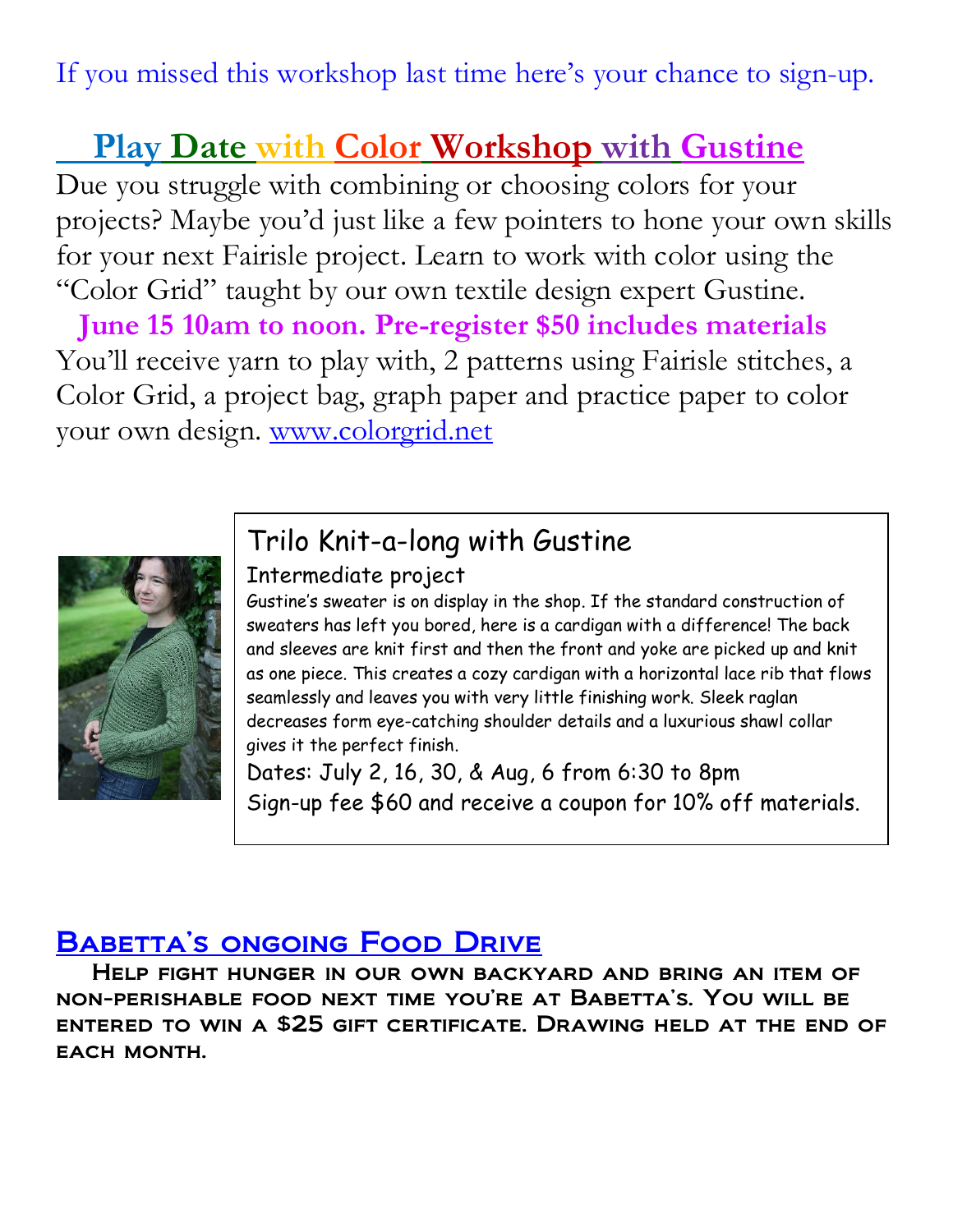If you missed this workshop last time here's your chance to sign-up.

## **Play Date with Color Workshop with Gustine**

Due you struggle with combining or choosing colors for your projects? Maybe you'd just like a few pointers to hone your own skills for your next Fairisle project. Learn to work with color using the "Color Grid" taught by our own textile design expert Gustine.

 **June 15 10am to noon. Pre-register \$50 includes materials** You'll receive yarn to play with, 2 patterns using Fairisle stitches, a Color Grid, a project bag, graph paper and practice paper to color your own design. [www.colorgrid.net](http://www.colorgrid.net/)



## Trilo Knit-a-long with Gustine

#### Intermediate project

Gustine's sweater is on display in the shop. If the standard construction of sweaters has left you bored, here is a cardigan with a difference! The back and sleeves are knit first and then the front and yoke are picked up and knit as one piece. This creates a cozy cardigan with a horizontal lace rib that flows seamlessly and leaves you with very little finishing work. Sleek raglan decreases form eye-catching shoulder details and a luxurious shawl collar gives it the perfect finish.

Dates: July 2, 16, 30, & Aug, 6 from 6:30 to 8pm Sign-up fee \$60 and receive a coupon for 10% off materials.

### BABETTA'S ONGOING FOOD DRIVE

 Help fight hunger in our own backyard and bring an item of non-perishable food next time you're at Babetta's. You will be entered to win a \$25 gift certificate. Drawing held at the end of EACH MONTH.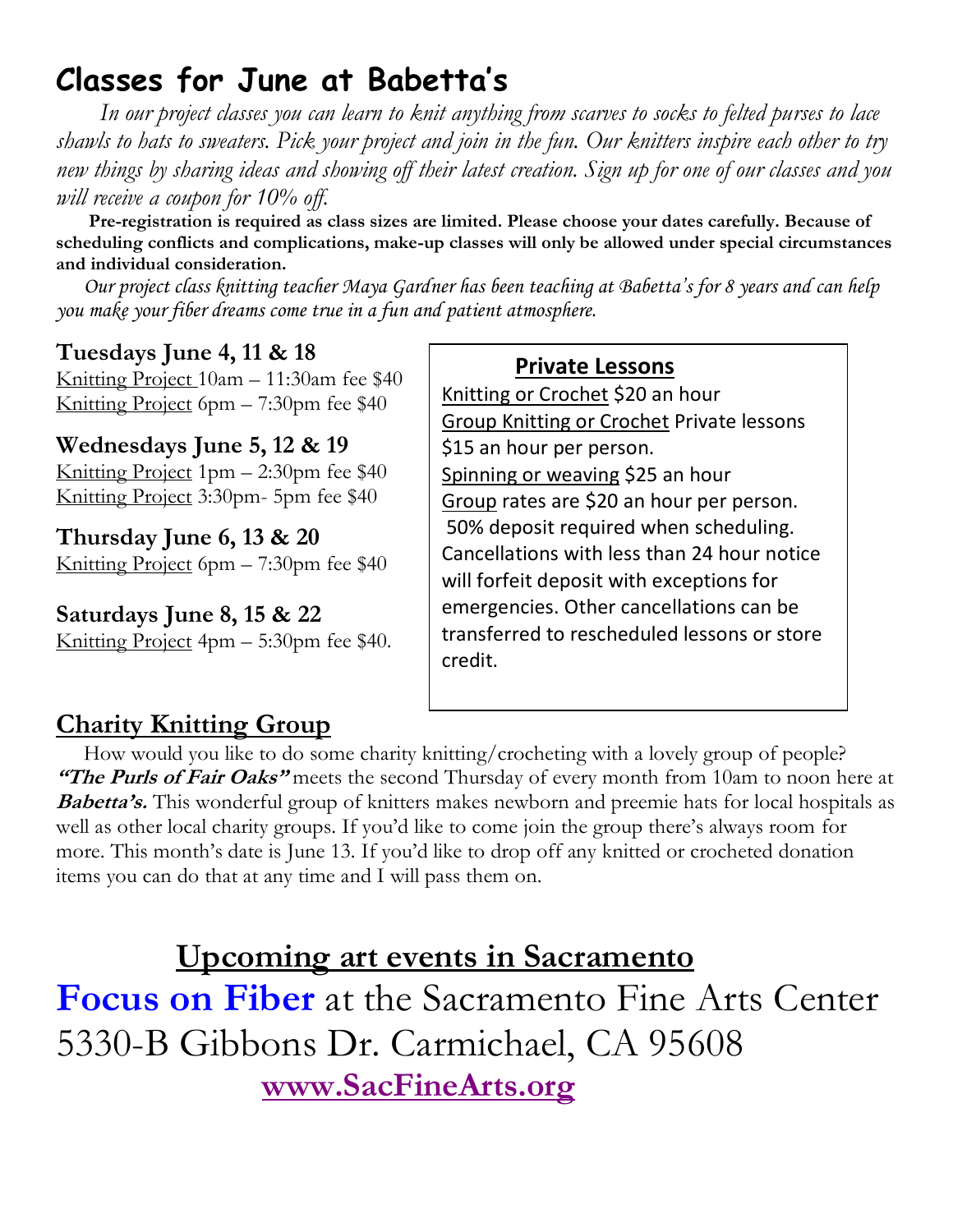# **Classes for June at Babetta's**

 *In our project classes you can learn to knit anything from scarves to socks to felted purses to lace shawls to hats to sweaters. Pick your project and join in the fun. Our knitters inspire each other to try new things by sharing ideas and showing off their latest creation. Sign up for one of our classes and you will receive a coupon for 10% off.*

 **Pre-registration is required as class sizes are limited. Please choose your dates carefully. Because of scheduling conflicts and complications, make-up classes will only be allowed under special circumstances and individual consideration.**

*Our project class knitting teacher Maya Gardner has been teaching at Babetta's for 8 years and can help you make your fiber dreams come true in a fun and patient atmosphere.*

### **Tuesdays June 4, 11 & 18**

Knitting Project 10am – 11:30am fee \$40 Knitting Project 6pm – 7:30pm fee \$40

**Wednesdays June 5, 12 & 19** Knitting Project  $1pm - 2:30pm$  fee \$40 Knitting Project 3:30pm- 5pm fee \$40

**Thursday June 6, 13 & 20** Knitting Project 6pm – 7:30pm fee \$40

**Saturdays June 8, 15 & 22** Knitting Project 4pm – 5:30pm fee \$40.

#### **Private Lessons**

Knitting or Crochet \$20 an hour Group Knitting or Crochet Private lessons \$15 an hour per person. Spinning or weaving \$25 an hour Group rates are \$20 an hour per person. 50% deposit required when scheduling. Cancellations with less than 24 hour notice will forfeit deposit with exceptions for emergencies. Other cancellations can be transferred to rescheduled lessons or store credit.

### **Charity Knitting Group**

 How would you like to do some charity knitting/crocheting with a lovely group of people? **"The Purls of Fair Oaks"** meets the second Thursday of every month from 10am to noon here at **Babetta's.** This wonderful group of knitters makes newborn and preemie hats for local hospitals as well as other local charity groups. If you'd like to come join the group there's always room for more. This month's date is June 13. If you'd like to drop off any knitted or crocheted donation items you can do that at any time and I will pass them on.

 **Upcoming art events in Sacramento Focus on Fiber** at the Sacramento Fine Arts Center 5330-B Gibbons Dr. Carmichael, CA 95608  **[www.SacFineArts.org](http://www.sacfinearts.org/)**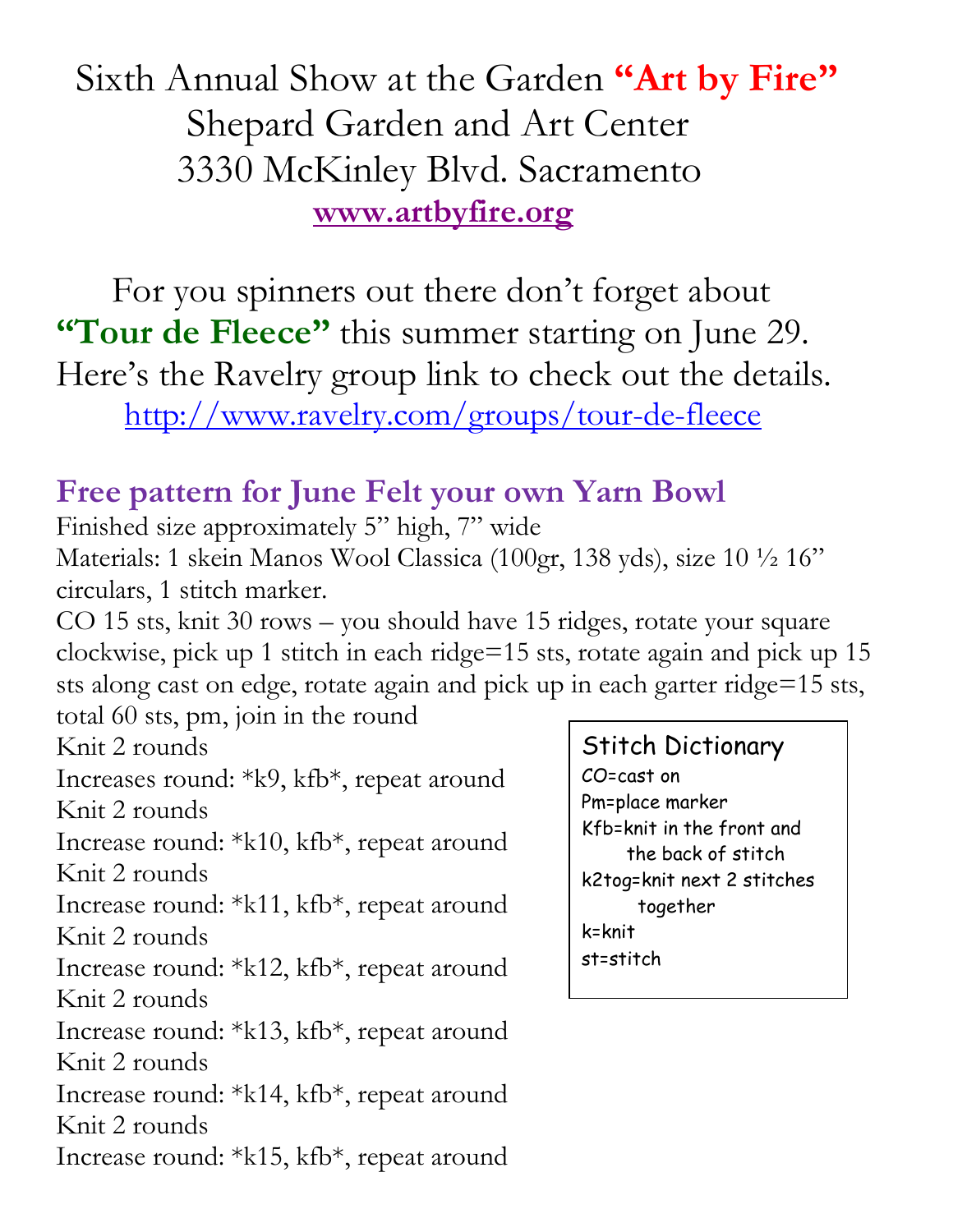Sixth Annual Show at the Garden **"Art by Fire"** Shepard Garden and Art Center 3330 McKinley Blvd. Sacramento  **[www.artbyfire.org](http://www.artbyfire.org/)**

 For you spinners out there don't forget about **"Tour de Fleece"** this summer starting on June 29. Here's the Ravelry group link to check out the details. <http://www.ravelry.com/groups/tour-de-fleece>

## **Free pattern for June Felt your own Yarn Bowl**

Finished size approximately 5" high, 7" wide

Materials: 1 skein Manos Wool Classica (100gr, 138 yds), size 10 ½ 16" circulars, 1 stitch marker.

CO 15 sts, knit 30 rows – you should have 15 ridges, rotate your square clockwise, pick up 1 stitch in each ridge=15 sts, rotate again and pick up 15 sts along cast on edge, rotate again and pick up in each garter ridge=15 sts, total 60 sts, pm, join in the round

Knit 2 rounds

Increases round: \*k9, kfb\*, repeat around Knit 2 rounds

Increase round: \*k10, kfb\*, repeat around Knit 2 rounds

Increase round: \*k11, kfb\*, repeat around Knit 2 rounds

Increase round: \*k12, kfb\*, repeat around Knit 2 rounds

Increase round: \*k13, kfb\*, repeat around Knit 2 rounds

Increase round: \*k14, kfb\*, repeat around Knit 2 rounds

Increase round: \*k15, kfb\*, repeat around

Stitch Dictionary CO=cast on Pm=place marker Kfb=knit in the front and the back of stitch k2tog=knit next 2 stitches together k=knit st=stitch